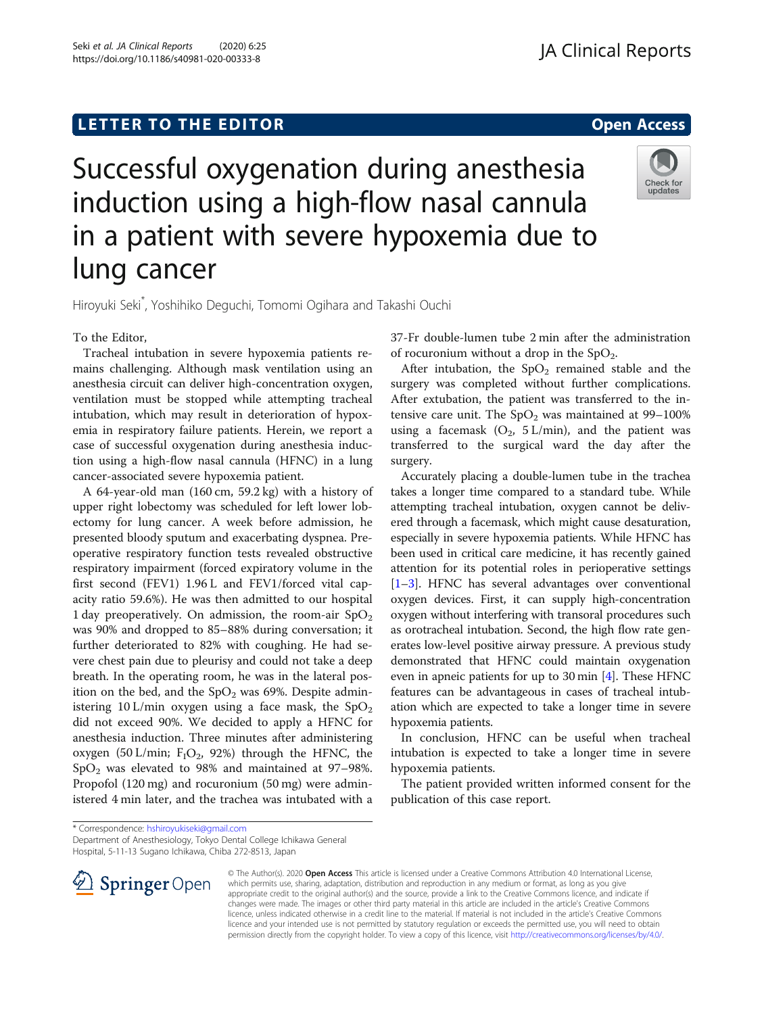# LETTER TO THE EDITOR **CONTROLL CONTROLLER TO THE EDITOR** CONTROLLER TO THE SAME ACCESS



Successful oxygenation during anesthesia induction using a high-flow nasal cannula in a patient with severe hypoxemia due to lung cancer

Hiroyuki Seki\* , Yoshihiko Deguchi, Tomomi Ogihara and Takashi Ouchi

### To the Editor,

Tracheal intubation in severe hypoxemia patients remains challenging. Although mask ventilation using an anesthesia circuit can deliver high-concentration oxygen, ventilation must be stopped while attempting tracheal intubation, which may result in deterioration of hypoxemia in respiratory failure patients. Herein, we report a case of successful oxygenation during anesthesia induction using a high-flow nasal cannula (HFNC) in a lung cancer-associated severe hypoxemia patient.

A 64-year-old man (160 cm, 59.2 kg) with a history of upper right lobectomy was scheduled for left lower lobectomy for lung cancer. A week before admission, he presented bloody sputum and exacerbating dyspnea. Preoperative respiratory function tests revealed obstructive respiratory impairment (forced expiratory volume in the first second (FEV1) 1.96 L and FEV1/forced vital capacity ratio 59.6%). He was then admitted to our hospital 1 day preoperatively. On admission, the room-air  $SpO<sub>2</sub>$ was 90% and dropped to 85–88% during conversation; it further deteriorated to 82% with coughing. He had severe chest pain due to pleurisy and could not take a deep breath. In the operating room, he was in the lateral position on the bed, and the  $SpO<sub>2</sub>$  was 69%. Despite administering 10 L/min oxygen using a face mask, the  $SpO<sub>2</sub>$ did not exceed 90%. We decided to apply a HFNC for anesthesia induction. Three minutes after administering oxygen (50 L/min;  $F_1O_2$ , 92%) through the HFNC, the SpO2 was elevated to 98% and maintained at 97–98%. Propofol (120 mg) and rocuronium (50 mg) were administered 4 min later, and the trachea was intubated with a

37-Fr double-lumen tube 2 min after the administration of rocuronium without a drop in the  $SpO<sub>2</sub>$ .

After intubation, the  $SpO<sub>2</sub>$  remained stable and the surgery was completed without further complications. After extubation, the patient was transferred to the intensive care unit. The  $SpO<sub>2</sub>$  was maintained at 99–100% using a facemask  $(O_2, 5 L/min)$ , and the patient was transferred to the surgical ward the day after the surgery.

Accurately placing a double-lumen tube in the trachea takes a longer time compared to a standard tube. While attempting tracheal intubation, oxygen cannot be delivered through a facemask, which might cause desaturation, especially in severe hypoxemia patients. While HFNC has been used in critical care medicine, it has recently gained attention for its potential roles in perioperative settings [[1](#page-1-0)–[3](#page-1-0)]. HFNC has several advantages over conventional oxygen devices. First, it can supply high-concentration oxygen without interfering with transoral procedures such as orotracheal intubation. Second, the high flow rate generates low-level positive airway pressure. A previous study demonstrated that HFNC could maintain oxygenation even in apneic patients for up to 30 min [\[4](#page-1-0)]. These HFNC features can be advantageous in cases of tracheal intubation which are expected to take a longer time in severe hypoxemia patients.

In conclusion, HFNC can be useful when tracheal intubation is expected to take a longer time in severe hypoxemia patients.

The patient provided written informed consent for the publication of this case report.

\* Correspondence: [hshiroyukiseki@gmail.com](mailto:hshiroyukiseki@gmail.com)

Department of Anesthesiology, Tokyo Dental College Ichikawa General Hospital, 5-11-13 Sugano Ichikawa, Chiba 272-8513, Japan



© The Author(s). 2020 Open Access This article is licensed under a Creative Commons Attribution 4.0 International License, which permits use, sharing, adaptation, distribution and reproduction in any medium or format, as long as you give appropriate credit to the original author(s) and the source, provide a link to the Creative Commons licence, and indicate if changes were made. The images or other third party material in this article are included in the article's Creative Commons licence, unless indicated otherwise in a credit line to the material. If material is not included in the article's Creative Commons licence and your intended use is not permitted by statutory regulation or exceeds the permitted use, you will need to obtain permission directly from the copyright holder. To view a copy of this licence, visit <http://creativecommons.org/licenses/by/4.0/>.